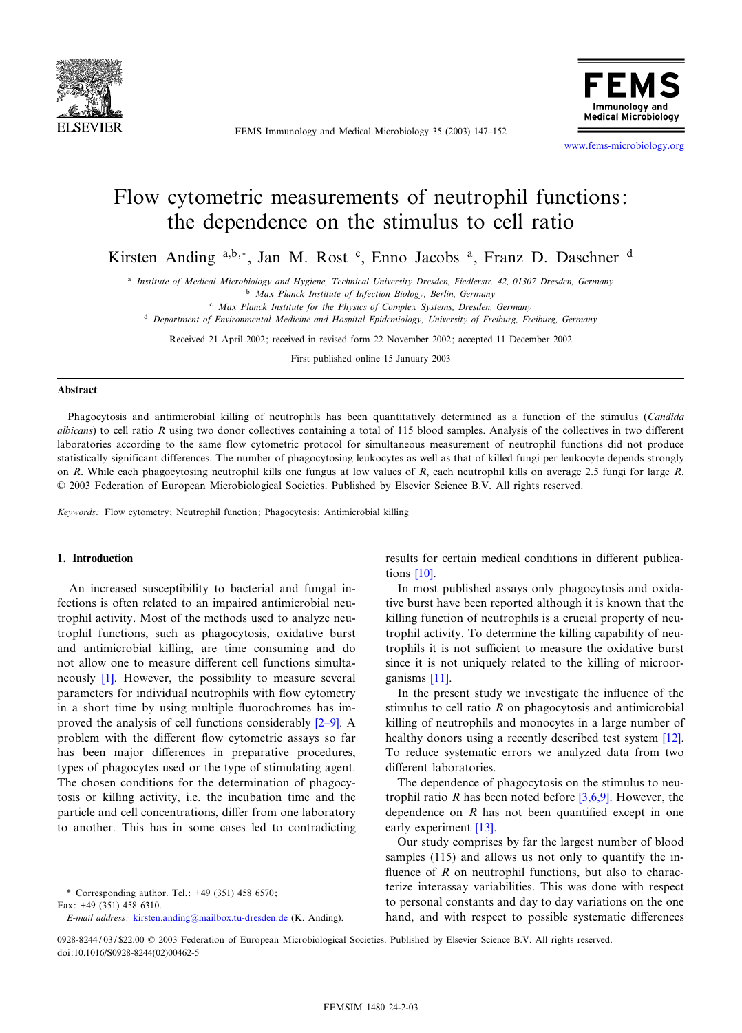

FEMS Immunology and Medical Microbiology 35 (2003) 147^152



www.fems-microbiology.org

# Flow cytometric measurements of neutrophil functions: the dependence on the stimulus to cell ratio

Kirsten Anding a,b,\*, Jan M. Rost c, Enno Jacobs <sup>a</sup>, Franz D. Daschner <sup>d</sup>

a Institute of Medical Microbiology and Hygiene, Technical University Dresden, Fiedlerstr. 42, 01307 Dresden, Germany

**b** Max Planck Institute of Infection Biology, Berlin, Germany

 $c$  Max Planck Institute for the Physics of Complex Systems, Dresden, Germany

<sup>d</sup> Department of Environmental Medicine and Hospital Epidemiology, University of Freiburg, Freiburg, Germany

Received 21 April 2002; received in revised form 22 November 2002; accepted 11 December 2002

First published online 15 January 2003

#### Abstract

Phagocytosis and antimicrobial killing of neutrophils has been quantitatively determined as a function of the stimulus (Candida albicans) to cell ratio  $R$  using two donor collectives containing a total of 115 blood samples. Analysis of the collectives in two different laboratories according to the same flow cytometric protocol for simultaneous measurement of neutrophil functions did not produce statistically significant differences. The number of phagocytosing leukocytes as well as that of killed fungi per leukocyte depends strongly on R. While each phagocytosing neutrophil kills one fungus at low values of R, each neutrophil kills on average 2.5 fungi for large R. 0 2003 Federation of European Microbiological Societies. Published by Elsevier Science B.V. All rights reserved.

Keywords: Flow cytometry; Neutrophil function; Phagocytosis; Antimicrobial killing

## 1. Introduction

An increased susceptibility to bacterial and fungal infections is often related to an impaired antimicrobial neutrophil activity. Most of the methods used to analyze neutrophil functions, such as phagocytosis, oxidative burst and antimicrobial killing, are time consuming and do not allo[w o](#page-4-0)ne to measure different cell functions simultaneously [1]. However, the possibility to measure several parameters for individual neutrophils with flow cytometry in a short time by using multiple fluorochromes [has i](#page-4-0)mproved the analysis of cell functions considerably  $[2-9]$ . A problem with the different flow cytometric assays so far has been major differences in preparative procedures, types of phagocytes used or the type of stimulating agent. The chosen conditions for the determination of phagocytosis or killing activity, i.e. the incubation time and the particle and cell concentrations, differ from one laboratory to another. This has in some cases led to contradicting result[s fo](#page-5-0)r certain medical conditions in different publications [10].

In most published assays only phagocytosis and oxidative burst have been reported although it is known that the killing function of neutrophils is a crucial property of neutrophil activity. To determine the killing capability of neutrophils it is not sufficient to measure the oxidative burst since it [is no](#page-5-0)t uniquely related to the killing of microorganisms [11].

In the present study we investigate the influence of the stimulus to cell ratio  $R$  on phagocytosis and antimicrobial killing of neutrophils and monocytes in a large numb[er of](#page-5-0) healthy donors using a recently described test system [12]. To reduce systematic errors we analyzed data from two different laboratories.

The dependence of phagocytosis o[n the st](#page-4-0)imulus to neutrophil ratio R has been noted before  $[3,6,9]$ . However, the dependence on  $R$  [ha](#page-5-0)s not been quantified except in one early experiment [13].

Our study comprises by far the largest number of blood samples (115) and allows us not only to quantify the influence of  $R$  on neutrophil functions, but also to characterize interassay variabilities. This was done with respect to personal constants and day to day variations on the one hand, and with respect to possible systematic differences

<sup>\*</sup> Corresponding author. Tel.: +49 (351) 458 6570; Fax: +49 (351) 45[8 6310.](mailto:kirsten.anding@mailbox.tu-dresden.de)

E-mail address : kirsten.anding@mailbox.tu-dresden.de (K. Anding).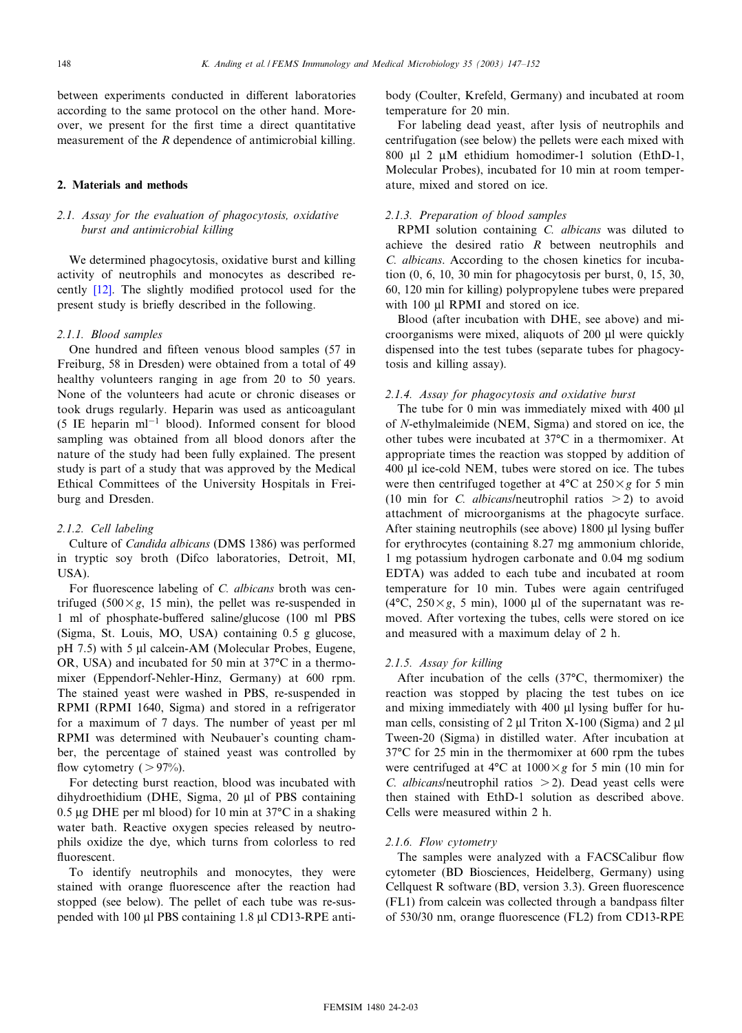between experiments conducted in different laboratories according to the same protocol on the other hand. Moreover, we present for the first time a direct quantitative measurement of the R dependence of antimicrobial killing.

## 2. Materials and methods

## 2.1. Assay for the evaluation of phagocytosis, oxidative burst and antimicrobial killing

We determined phagocytosis, oxidative burst and killing activit[y of](#page-5-0) neutrophils and monocytes as described recently  $[12]$ . The slightly modified protocol used for the present study is brie£y described in the following.

#### 2.1.1. Blood samples

One hundred and fifteen venous blood samples (57 in Freiburg, 58 in Dresden) were obtained from a total of 49 healthy volunteers ranging in age from 20 to 50 years. None of the volunteers had acute or chronic diseases or took drugs regularly. Heparin was used as anticoagulant (5 IE heparin  $ml^{-1}$  blood). Informed consent for blood sampling was obtained from all blood donors after the nature of the study had been fully explained. The present study is part of a study that was approved by the Medical Ethical Committees of the University Hospitals in Freiburg and Dresden.

## 2.1.2. Cell labeling

Culture of Candida albicans (DMS 1386) was performed in tryptic soy broth (Difco laboratories, Detroit, MI, USA).

For fluorescence labeling of C. albicans broth was centrifuged (500 $\times g$ , 15 min), the pellet was re-suspended in 1 ml of phosphate-buffered saline/glucose (100 ml PBS (Sigma, St. Louis, MO, USA) containing 0.5 g glucose, pH 7.5) with 5 µl calcein-AM (Molecular Probes, Eugene, OR, USA) and incubated for 50 min at  $37^{\circ}$ C in a thermomixer (Eppendorf-Nehler-Hinz, Germany) at 600 rpm. The stained yeast were washed in PBS, re-suspended in RPMI (RPMI 1640, Sigma) and stored in a refrigerator for a maximum of 7 days. The number of yeast per ml RPMI was determined with Neubauer's counting chamber, the percentage of stained yeast was controlled by flow cytometry  $( > 97\%)$ .

For detecting burst reaction, blood was incubated with dihydroethidium (DHE, Sigma, 20 Wl of PBS containing 0.5  $\mu$ g DHE per ml blood) for 10 min at 37 $\rm{°C}$  in a shaking water bath. Reactive oxygen species released by neutrophils oxidize the dye, which turns from colorless to red fluorescent.

To identify neutrophils and monocytes, they were stained with orange fluorescence after the reaction had stopped (see below). The pellet of each tube was re-suspended with 100 µl PBS containing 1.8 µl CD13-RPE antibody (Coulter, Krefeld, Germany) and incubated at room temperature for 20 min.

For labeling dead yeast, after lysis of neutrophils and centrifugation (see below) the pellets were each mixed with 800  $\mu$ 1 2  $\mu$ M ethidium homodimer-1 solution (EthD-1, Molecular Probes), incubated for 10 min at room temperature, mixed and stored on ice.

## 2.1.3. Preparation of blood samples

RPMI solution containing C. albicans was diluted to achieve the desired ratio  $R$  between neutrophils and C. albicans. According to the chosen kinetics for incubation (0, 6, 10, 30 min for phagocytosis per burst, 0, 15, 30, 60, 120 min for killing) polypropylene tubes were prepared with 100 µl RPMI and stored on ice.

Blood (after incubation with DHE, see above) and microorganisms were mixed, aliquots of 200 µl were quickly dispensed into the test tubes (separate tubes for phagocytosis and killing assay).

## 2.1.4. Assay for phagocytosis and oxidative burst

The tube for  $0$  min was immediately mixed with  $400 \mu l$ of N-ethylmaleimide (NEM, Sigma) and stored on ice, the other tubes were incubated at 37°C in a thermomixer. At appropriate times the reaction was stopped by addition of 400 µl ice-cold NEM, tubes were stored on ice. The tubes were then centrifuged together at  $4^{\circ}C$  at  $250\times g$  for 5 min (10 min for C. albicans/neutrophil ratios  $>$  2) to avoid attachment of microorganisms at the phagocyte surface. After staining neutrophils (see above)  $1800 \mu l$  lysing buffer for erythrocytes (containing 8.27 mg ammonium chloride, 1 mg potassium hydrogen carbonate and 0.04 mg sodium EDTA) was added to each tube and incubated at room temperature for 10 min. Tubes were again centrifuged (4 $\rm ^{o}C$ , 250 $\times g$ , 5 min), 1000 µl of the supernatant was removed. After vortexing the tubes, cells were stored on ice and measured with a maximum delay of 2 h.

### 2.1.5. Assay for killing

After incubation of the cells  $(37^{\circ}C,$  thermomixer) the reaction was stopped by placing the test tubes on ice and mixing immediately with 400  $\mu$ l lysing buffer for human cells, consisting of  $2 \mu$ l Triton X-100 (Sigma) and  $2 \mu$ l Tween-20 (Sigma) in distilled water. After incubation at  $37^{\circ}$ C for 25 min in the thermomixer at 600 rpm the tubes were centrifuged at 4 $\rm ^{o}C$  at 1000 $\times$ g for 5 min (10 min for C. albicans/neutrophil ratios  $>$  2). Dead yeast cells were then stained with EthD-1 solution as described above. Cells were measured within 2 h.

## 2.1.6. Flow cytometry

The samples were analyzed with a FACSCalibur flow cytometer (BD Biosciences, Heidelberg, Germany) using Cellquest R software (BD, version 3.3). Green fluorescence (FL1) from calcein was collected through a bandpass filter of 530/30 nm, orange fluorescence (FL2) from CD13-RPE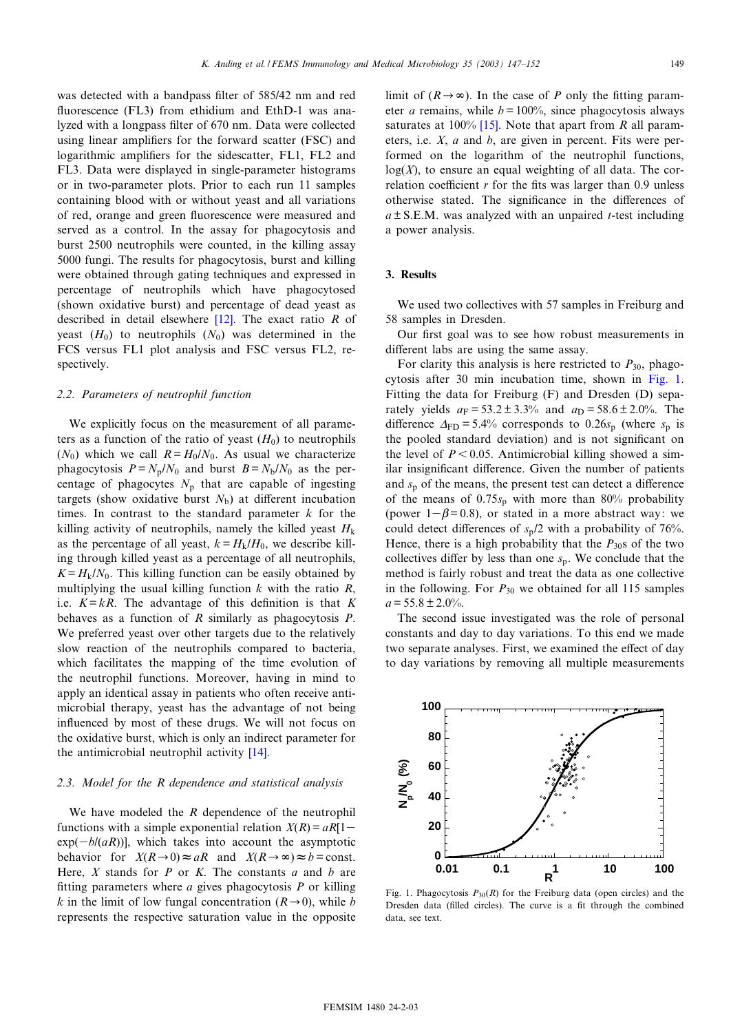<span id="page-2-0"></span>was detected with a bandpass filter of 585/42 nm and red fluorescence (FL3) from ethidium and EthD-1 was analyzed with a longpass filter of 670 nm. Data were collected using linear amplifiers for the forward scatter (FSC) and logarithmic amplifiers for the sidescatter, FL1, FL2 and FL3. Data were displayed in single-parameter histograms or in two-parameter plots. Prior to each run 11 samples containing blood with or without yeast and all variations of red, orange and green fluorescence were measured and served as a control. In the assay for phagocytosis and burst 2500 neutrophils were counted, in the killing assay 5000 fungi. The results for phagocytosis, burst and killing were obtained through gating techniques and expressed in percentage of neutrophils which have phagocytosed (shown oxidative burst) and [perce](#page-5-0)ntage of dead yeast as described in detail elsewhere  $[12]$ . The exact ratio R of yeast  $(H_0)$  to neutrophils  $(N_0)$  was determined in the FCS versus FL1 plot analysis and FSC versus FL2, respectively.

## 2.2. Parameters of neutrophil function

We explicitly focus on the measurement of all parameters as a function of the ratio of yeast  $(H_0)$  to neutrophils  $(N_0)$  which we call  $R = H_0/N_0$ . As usual we characterize phagocytosis  $P = N_p/N_0$  and burst  $B = N_b/N_0$  as the percentage of phagocytes  $N_p$  that are capable of ingesting targets (show oxidative burst  $N<sub>b</sub>$ ) at different incubation times. In contrast to the standard parameter  $k$  for the killing activity of neutrophils, namely the killed yeast  $H<sub>k</sub>$ as the percentage of all yeast,  $k = H_k/H_0$ , we describe killing through killed yeast as a percentage of all neutrophils,  $K = H<sub>k</sub>/N<sub>0</sub>$ . This killing function can be easily obtained by multiplying the usual killing function  $k$  with the ratio  $R$ , i.e.  $K = kR$ . The advantage of this definition is that K behaves as a function of  $R$  similarly as phagocytosis  $P$ . We preferred yeast over other targets due to the relatively slow reaction of the neutrophils compared to bacteria, which facilitates the mapping of the time evolution of the neutrophil functions. Moreover, having in mind to apply an identical assay in patients who often receive antimicrobial therapy, yeast has the advantage of not being influenced by most of these drugs. We will not focus on the oxidative burst, which is only an i[ndir](#page-5-0)ect parameter for the antimicrobial neutrophil activity [14].

## 2.3. Model for the R dependence and statistical analysis

We have modeled the R dependence of the neutrophil functions with a simple exponential relation  $X(R) = aR[1-\frac{1}{2}]$  $exp(-b/(aR))$ , which takes into account the asymptotic behavior for  $X(R\rightarrow 0) \approx aR$  and  $X(R\rightarrow \infty) \approx b = \text{const.}$ Here,  $X$  stands for  $P$  or  $K$ . The constants  $a$  and  $b$  are fitting parameters where  $a$  gives phagocytosis  $P$  or killing k in the limit of low fungal concentration ( $R\rightarrow 0$ ), while b represents the respective saturation value in the opposite limit of  $(R\rightarrow\infty)$ . In the case of P only the fitting parameter *a* remains, w[hile](#page-5-0)  $b = 100\%$ , since phagocytosis always saturates at 100% [15]. Note that apart from  $R$  all parameters, i.e. X, a and b, are given in percent. Fits were performed on the logarithm of the neutrophil functions,  $log(X)$ , to ensure an equal weighting of all data. The correlation coefficient  $r$  for the fits was larger than 0.9 unless otherwise stated. The significance in the differences of  $a \pm S.E.M.$  was analyzed with an unpaired *t*-test including a power analysis.

## 3. Results

We used two collectives with 57 samples in Freiburg and 58 samples in Dresden.

Our first goal was to see how robust measurements in different labs are using the same assay.

For clarity this analysis is here restricted to  $P_{30}$ , phagocytosis after 30 min incubation time, shown in Fig. 1. Fitting the data for Freiburg (F) and Dresden (D) separately yields  $a_F = 53.2 \pm 3.3\%$  and  $a_D = 58.6 \pm 2.0\%$ . The difference  $\Delta_{FD} = 5.4\%$  corresponds to 0.26s<sub>p</sub> (where s<sub>p</sub> is the pooled standard deviation) and is not significant on the level of  $P < 0.05$ . Antimicrobial killing showed a similar insignificant difference. Given the number of patients and  $s_p$  of the means, the present test can detect a difference of the means of  $0.75s_p$  with more than 80% probability (power  $1-\beta = 0.8$ ), or stated in a more abstract way: we could detect differences of  $s_p/2$  with a probability of 76%. Hence, there is a high probability that the  $P_{30}$ s of the two collectives differ by less than one  $s_p$ . We conclude that the method is fairly robust and treat the data as one collective in the following. For  $P_{30}$  we obtained for all 115 samples  $a = 55.8 \pm 2.0\%$ .

The second issue investigated was the role of personal constants and day to day variations. To this end we made two separate analyses. First, we examined the effect of day to day variations by removing all multiple measurements



Fig. 1. Phagocytosis  $P_{30}(R)$  for the Freiburg data (open circles) and the Dresden data (filled circles). The curve is a fit through the combined data, see text.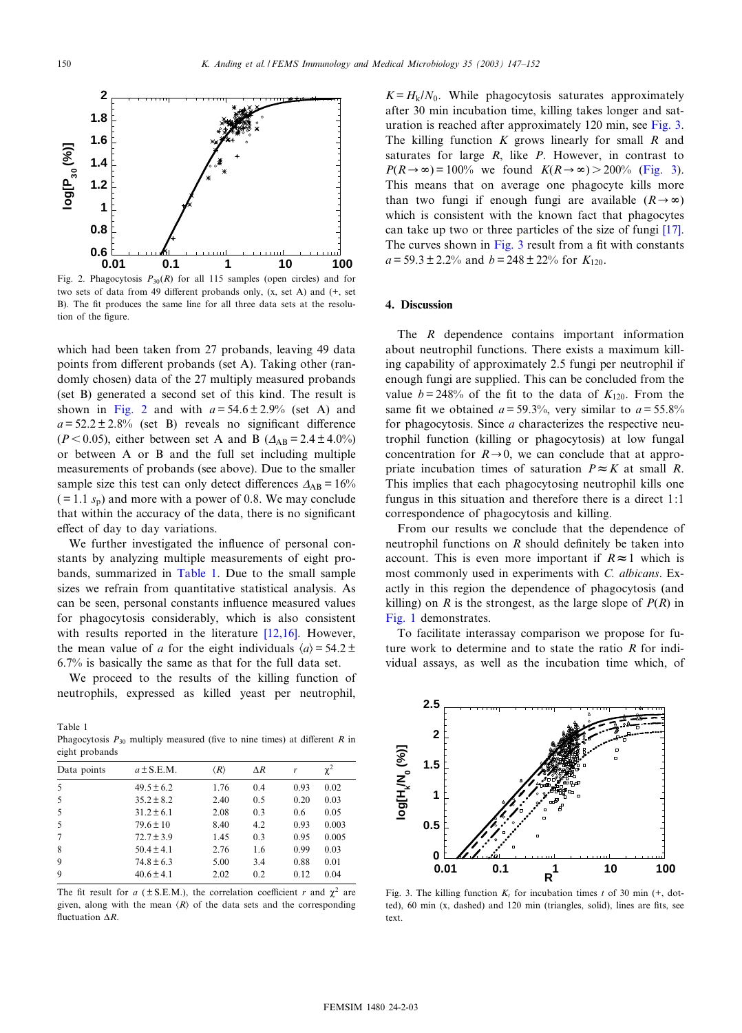<span id="page-3-0"></span>

Fig. 2. Phagocytosis  $P_{30}(R)$  for all 115 samples (open circles) and for two sets of data from 49 different probands only,  $(x, set A)$  and  $(+, set A)$ B). The fit produces the same line for all three data sets at the resolution of the figure.

which had been taken from 27 probands, leaving 49 data points from different probands (set A). Taking other (randomly chosen) data of the 27 multiply measured probands (set B) generated a second set of this kind. The result is shown in Fig. 2 and with  $a = 54.6 \pm 2.9\%$  (set A) and  $a = 52.2 \pm 2.8$ % (set B) reveals no significant difference ( $P < 0.05$ ), either between set A and B ( $\Delta_{AB} = 2.4 \pm 4.0\%$ ) or between A or B and the full set including multiple measurements of probands (see above). Due to the smaller sample size this test can only detect differences  $\Delta_{AB} = 16\%$  $( = 1.1 s<sub>p</sub>)$  and more with a power of 0.8. We may conclude that within the accuracy of the data, there is no significant effect of day to day variations.

We further investigated the influence of personal constants by analyzing multiple measurements of eight probands, summarized in Table 1. Due to the small sample sizes we refrain from quantitative statistical analysis. As can be seen, personal constants influence measured values for phagocytosis considerably, which [is also](#page-5-0) consistent with results reported in the literature [12,16]. However, the mean value of a for the eight individuals  $\langle a \rangle = 54.2 \pm$ 6.7% is basically the same as that for the full data set.

We proceed to the results of the killing function of neutrophils, expressed as killed yeast per neutrophil,

Table 1 Phagocytosis  $P_{30}$  multiply measured (five to nine times) at different R in eight probands

| Data points | $a \pm S.E.M.$ | $\langle R\rangle$ | $\Delta R$ | r    | $\chi^2$ |
|-------------|----------------|--------------------|------------|------|----------|
| 5           | $49.5 \pm 6.2$ | 1.76               | 0.4        | 0.93 | 0.02     |
| 5           | $35.2 \pm 8.2$ | 2.40               | 0.5        | 0.20 | 0.03     |
| .5          | $31.2 \pm 6.1$ | 2.08               | 0.3        | 0.6  | 0.05     |
| .5          | $79.6 \pm 10$  | 8.40               | 4.2        | 0.93 | 0.003    |
| 7           | $72.7 \pm 3.9$ | 1.45               | 0.3        | 0.95 | 0.005    |
| 8           | $50.4 \pm 4.1$ | 2.76               | 1.6        | 0.99 | 0.03     |
| 9           | $74.8 \pm 6.3$ | 5.00               | 3.4        | 0.88 | 0.01     |
| 9           | $40.6 \pm 4.1$ | 2.02               | 0.2        | 0.12 | 0.04     |
|             |                |                    |            |      |          |

The fit result for a ( $\pm$  S.E.M.), the correlation coefficient r and  $\chi^2$  are given, along with the mean  $\langle R \rangle$  of the data sets and the corresponding fluctuation  $\Delta R$ .

 $K = H<sub>k</sub>/N<sub>0</sub>$ . While phagocytosis saturates approximately after 30 min incubation time, killing takes longer and saturation is reached after approximately 120 min, see Fig. 3. The killing function  $K$  grows linearly for small  $R$  and saturates for large  $R$ , like  $P$ . However, in contrast to  $P(R\rightarrow\infty) = 100\%$  we found  $K(R\rightarrow\infty) > 200\%$  (Fig. 3). This means that on average one phagocyte kills more than two fungi if enough fungi are available  $(R\rightarrow\infty)$ which is consistent with the known fact that phago[cytes](#page-5-0) can take up two or three particles of the size of fungi [17]. The curves shown in Fig.  $3$  result from a fit with constants  $a = 59.3 \pm 2.2\%$  and  $b = 248 \pm 22\%$  for  $K_{120}$ .

#### 4. Discussion

The R dependence contains important information about neutrophil functions. There exists a maximum killing capability of approximately 2.5 fungi per neutrophil if enough fungi are supplied. This can be concluded from the value  $b = 248\%$  of the fit to the data of  $K_{120}$ . From the same fit we obtained  $a = 59.3\%$ , very similar to  $a = 55.8\%$ for phagocytosis. Since  $a$  characterizes the respective neutrophil function (killing or phagocytosis) at low fungal concentration for  $R\rightarrow 0$ , we can conclude that at appropriate incubation times of saturation  $P \approx K$  at small R. This implies that each phagocytosing neutrophil kills one fungus in this situation and therefore there is a direct 1:1 correspondence of phagocytosis and killing.

From our results we conclude that the dependence of neutrophil functions on  $R$  should definitely be taken into account. This is even more important if  $R \approx 1$  which is most commonly used in experiments with C. albicans. Exactly in this region the dependence of phagocytosis (and [killing](#page-2-0)) on R is the strongest, as the large slope of  $P(R)$  in Fig. 1 demonstrates.

To facilitate interassay comparison we propose for future work to determine and to state the ratio R for individual assays, as well as the incubation time which, of



Fig. 3. The killing function  $K_t$  for incubation times t of 30 min (+, dotted), 60 min (x, dashed) and 120 min (triangles, solid), lines are fits, see text.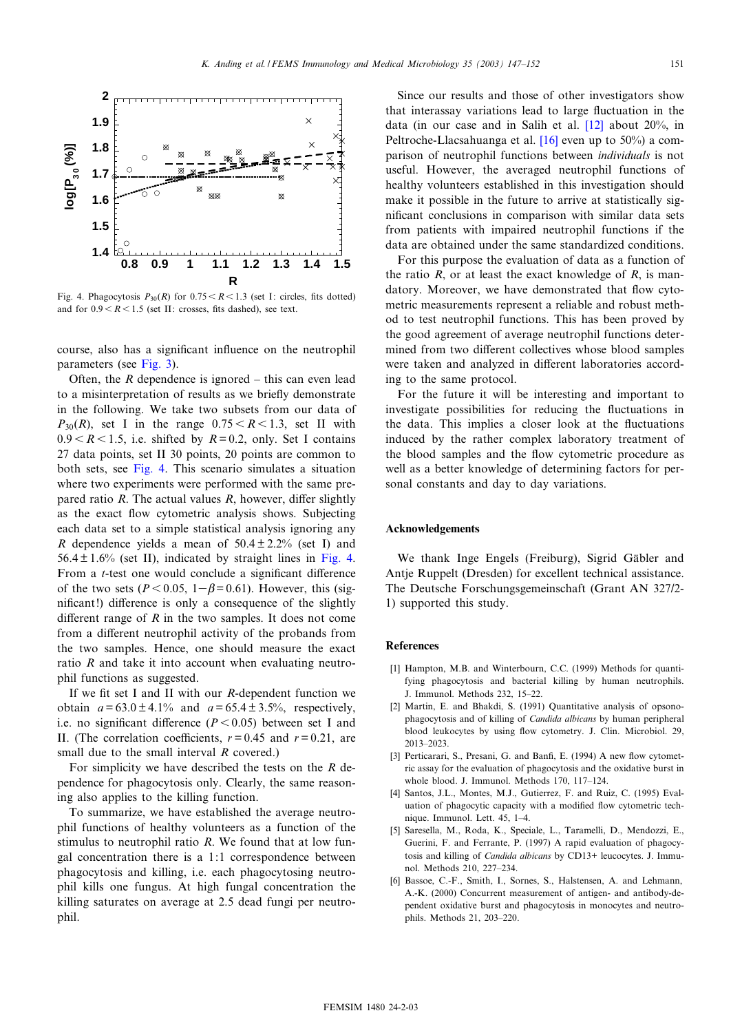<span id="page-4-0"></span>

Fig. 4. Phagocytosis  $P_{30}(R)$  for  $0.75 < R < 1.3$  (set I: circles, fits dotted) and for  $0.9 < R < 1.5$  (set II: crosses, fits dashed), see text.

course, also has a significant influence on the neutrophil parameters (see Fig. 3).

Often, the  $R$  dependence is ignored – this can even lead to a misinterpretation of results as we briefly demonstrate in the following. We take two subsets from our data of  $P_{30}(R)$ , set I in the range  $0.75 < R < 1.3$ , set II with  $0.9 < R < 1.5$ , i.e. shifted by  $R = 0.2$ , only. Set I contains 27 data points, set II 30 points, 20 points are common to both sets, see Fig. 4. This scenario simulates a situation where two experiments were performed with the same prepared ratio  $R$ . The actual values  $R$ , however, differ slightly as the exact flow cytometric analysis shows. Subjecting each data set to a simple statistical analysis ignoring any R dependence yields a mean of  $50.4 \pm 2.2\%$  (set I) and  $56.4 \pm 1.6$ % (set II), indicated by straight lines in Fig. 4. From a *t*-test one would conclude a significant difference of the two sets ( $P < 0.05$ ,  $1-\beta = 0.61$ ). However, this (significant!) difference is only a consequence of the slightly different range of  $R$  in the two samples. It does not come from a different neutrophil activity of the probands from the two samples. Hence, one should measure the exact ratio  $R$  and take it into account when evaluating neutrophil functions as suggested.

If we fit set I and II with our  $R$ -dependent function we obtain  $a = 63.0 \pm 4.1\%$  and  $a = 65.4 \pm 3.5\%$ , respectively, i.e. no significant difference  $(P<0.05)$  between set I and II. (The correlation coefficients,  $r = 0.45$  and  $r = 0.21$ , are small due to the small interval  $R$  covered.)

For simplicity we have described the tests on the  $R$  dependence for phagocytosis only. Clearly, the same reasoning also applies to the killing function.

To summarize, we have established the average neutrophil functions of healthy volunteers as a function of the stimulus to neutrophil ratio  $R$ . We found that at low fungal concentration there is a 1:1 correspondence between phagocytosis and killing, i.e. each phagocytosing neutrophil kills one fungus. At high fungal concentration the killing saturates on average at 2.5 dead fungi per neutrophil.

Since our results and those of other investigators show that interassay variations lead to large fluctuation in the data (in our case and in Salih et al.  $[12]$  about 20%, in Peltroche-Llacsahuanga et al.  $[16]$  even up to 50%) a comparison of neutrophil functions between *individuals* is not useful. However, the averaged neutrophil functions of healthy volunteers established in this investigation should make it possible in the future to arrive at statistically significant conclusions in comparison with similar data sets from patients with impaired neutrophil functions if the data are obtained under the same standardized conditions.

For this purpose the evaluation of data as a function of the ratio  $R$ , or at least the exact knowledge of  $R$ , is mandatory. Moreover, we have demonstrated that flow cytometric measurements represent a reliable and robust method to test neutrophil functions. This has been proved by the good agreement of average neutrophil functions determined from two different collectives whose blood samples were taken and analyzed in different laboratories according to the same protocol.

For the future it will be interesting and important to investigate possibilities for reducing the fluctuations in the data. This implies a closer look at the fluctuations induced by the rather complex laboratory treatment of the blood samples and the flow cytometric procedure as well as a better knowledge of determining factors for personal constants and day to day variations.

## Acknowledgements

We thank Inge Engels (Freiburg), Sigrid Gäbler and Antje Ruppelt (Dresden) for excellent technical assistance. The Deutsche Forschungsgemeinschaft (Grant AN 327/2-1) supported this study.

#### **References**

- [1] Hampton, M.B. and Winterbourn, C.C. (1999) Methods for quantifying phagocytosis and bacterial killing by human neutrophils. J. Immunol. Methods 232, 15-22.
- [2] Martin, E. and Bhakdi, S. (1991) Quantitative analysis of opsonophagocytosis and of killing of Candida albicans by human peripheral blood leukocytes by using flow cytometry. J. Clin. Microbiol. 29, 2013-2023
- [3] Perticarari, S., Presani, G. and Banfi, E. (1994) A new flow cytometric assay for the evaluation of phagocytosis and the oxidative burst in whole blood. J. Immunol. Methods 170, 117-124
- [4] Santos, J.L., Montes, M.J., Gutierrez, F. and Ruiz, C. (1995) Evaluation of phagocytic capacity with a modified flow cytometric technique. Immunol. Lett. 45, 1-4.
- [5] Saresella, M., Roda, K., Speciale, L., Taramelli, D., Mendozzi, E., Guerini, F. and Ferrante, P. (1997) A rapid evaluation of phagocytosis and killing of *Candida albicans* by CD13+ leucocytes. J. Immunol. Methods 210, 227-234.
- [6] Bassoe, C.-F., Smith, I., Sornes, S., Halstensen, A. and Lehmann, A.-K. (2000) Concurrent measurement of antigen- and antibody-dependent oxidative burst and phagocytosis in monocytes and neutrophils. Methods 21, 203-220.